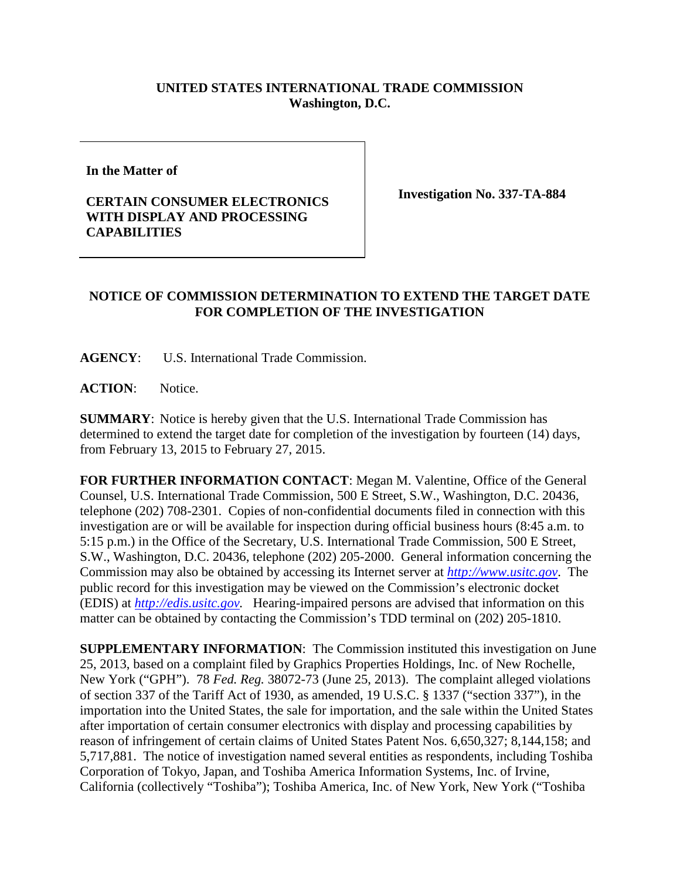## **UNITED STATES INTERNATIONAL TRADE COMMISSION Washington, D.C.**

**In the Matter of** 

## **CERTAIN CONSUMER ELECTRONICS WITH DISPLAY AND PROCESSING CAPABILITIES**

**Investigation No. 337-TA-884**

## **NOTICE OF COMMISSION DETERMINATION TO EXTEND THE TARGET DATE FOR COMPLETION OF THE INVESTIGATION**

**AGENCY**: U.S. International Trade Commission.

**ACTION**: Notice.

**SUMMARY**: Notice is hereby given that the U.S. International Trade Commission has determined to extend the target date for completion of the investigation by fourteen (14) days, from February 13, 2015 to February 27, 2015.

**FOR FURTHER INFORMATION CONTACT**: Megan M. Valentine, Office of the General Counsel, U.S. International Trade Commission, 500 E Street, S.W., Washington, D.C. 20436, telephone (202) 708-2301. Copies of non-confidential documents filed in connection with this investigation are or will be available for inspection during official business hours (8:45 a.m. to 5:15 p.m.) in the Office of the Secretary, U.S. International Trade Commission, 500 E Street, S.W., Washington, D.C. 20436, telephone (202) 205-2000. General information concerning the Commission may also be obtained by accessing its Internet server at *[http://www.usitc.gov](http://www.usitc.gov/)*. The public record for this investigation may be viewed on the Commission's electronic docket (EDIS) at *[http://edis.usitc.gov.](http://edis.usitc.gov/)* Hearing-impaired persons are advised that information on this matter can be obtained by contacting the Commission's TDD terminal on (202) 205-1810.

**SUPPLEMENTARY INFORMATION**: The Commission instituted this investigation on June 25, 2013, based on a complaint filed by Graphics Properties Holdings, Inc. of New Rochelle, New York ("GPH"). 78 *Fed. Reg.* 38072-73 (June 25, 2013). The complaint alleged violations of section 337 of the Tariff Act of 1930, as amended, 19 U.S.C. § 1337 ("section 337"), in the importation into the United States, the sale for importation, and the sale within the United States after importation of certain consumer electronics with display and processing capabilities by reason of infringement of certain claims of United States Patent Nos. 6,650,327; 8,144,158; and 5,717,881. The notice of investigation named several entities as respondents, including Toshiba Corporation of Tokyo, Japan, and Toshiba America Information Systems, Inc. of Irvine, California (collectively "Toshiba"); Toshiba America, Inc. of New York, New York ("Toshiba